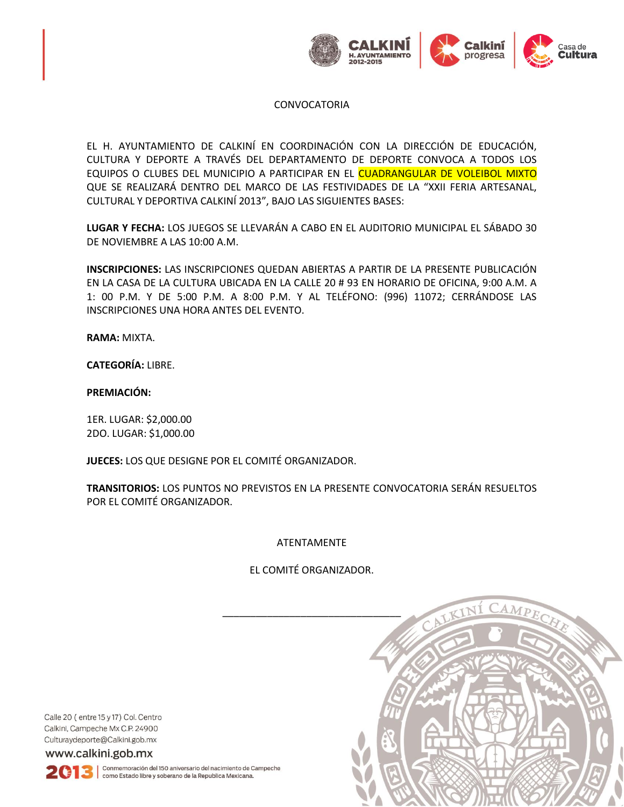

EL H. AYUNTAMIENTO DE CALKINÍ EN COORDINACIÓN CON LA DIRECCIÓN DE EDUCACIÓN, CULTURA Y DEPORTE A TRAVÉS DEL DEPARTAMENTO DE DEPORTE CONVOCA A TODOS LOS EQUIPOS O CLUBES DEL MUNICIPIO A PARTICIPAR EN EL CUADRANGULAR DE VOLEIBOL MIXTO QUE SE REALIZARÁ DENTRO DEL MARCO DE LAS FESTIVIDADES DE LA "XXII FERIA ARTESANAL, CULTURAL Y DEPORTIVA CALKINÍ 2013", BAJO LAS SIGUIENTES BASES:

**LUGAR Y FECHA:** LOS JUEGOS SE LLEVARÁN A CABO EN EL AUDITORIO MUNICIPAL EL SÁBADO 30 DE NOVIEMBRE A LAS 10:00 A.M.

**INSCRIPCIONES:** LAS INSCRIPCIONES QUEDAN ABIERTAS A PARTIR DE LA PRESENTE PUBLICACIÓN EN LA CASA DE LA CULTURA UBICADA EN LA CALLE 20 # 93 EN HORARIO DE OFICINA, 9:00 A.M. A 1: 00 P.M. Y DE 5:00 P.M. A 8:00 P.M. Y AL TELÉFONO: (996) 11072; CERRÁNDOSE LAS INSCRIPCIONES UNA HORA ANTES DEL EVENTO.

**RAMA:** MIXTA.

**CATEGORÍA:** LIBRE.

**PREMIACIÓN:**

1ER. LUGAR: \$2,000.00 2DO. LUGAR: \$1,000.00

**JUECES:** LOS QUE DESIGNE POR EL COMITÉ ORGANIZADOR.

**TRANSITORIOS:** LOS PUNTOS NO PREVISTOS EN LA PRESENTE CONVOCATORIA SERÁN RESUELTOS POR EL COMITÉ ORGANIZADOR.

## ATENTAMENTE

## EL COMITÉ ORGANIZADOR.



Calle 20 (entre 15 y 17) Col. Centro Calkini, Campeche Mx C.P. 24900 Culturaydeporte@Calkini.gob.mx

www.calkini.gob.mx

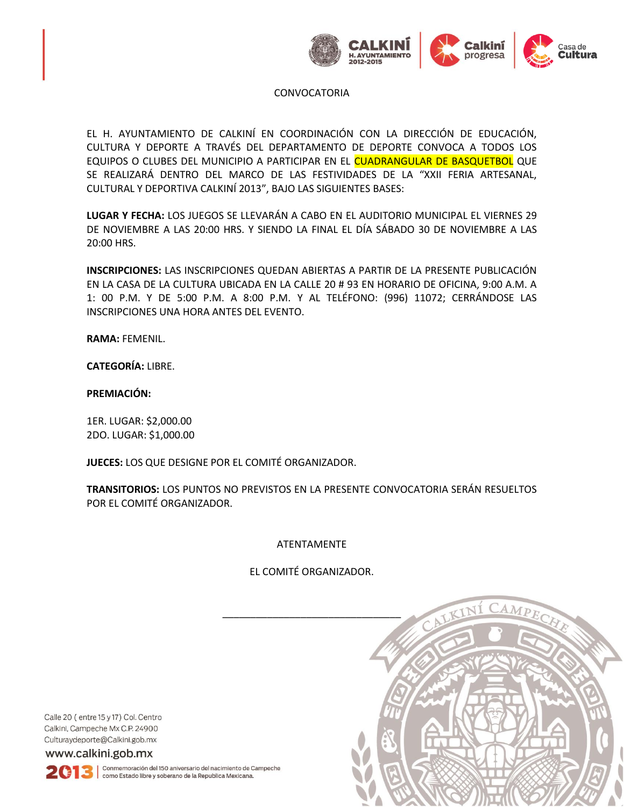

EL H. AYUNTAMIENTO DE CALKINÍ EN COORDINACIÓN CON LA DIRECCIÓN DE EDUCACIÓN, CULTURA Y DEPORTE A TRAVÉS DEL DEPARTAMENTO DE DEPORTE CONVOCA A TODOS LOS EQUIPOS O CLUBES DEL MUNICIPIO A PARTICIPAR EN EL CUADRANGULAR DE BASQUETBOL QUE SE REALIZARÁ DENTRO DEL MARCO DE LAS FESTIVIDADES DE LA "XXII FERIA ARTESANAL, CULTURAL Y DEPORTIVA CALKINÍ 2013", BAJO LAS SIGUIENTES BASES:

**LUGAR Y FECHA:** LOS JUEGOS SE LLEVARÁN A CABO EN EL AUDITORIO MUNICIPAL EL VIERNES 29 DE NOVIEMBRE A LAS 20:00 HRS. Y SIENDO LA FINAL EL DÍA SÁBADO 30 DE NOVIEMBRE A LAS 20:00 HRS.

**INSCRIPCIONES:** LAS INSCRIPCIONES QUEDAN ABIERTAS A PARTIR DE LA PRESENTE PUBLICACIÓN EN LA CASA DE LA CULTURA UBICADA EN LA CALLE 20 # 93 EN HORARIO DE OFICINA, 9:00 A.M. A 1: 00 P.M. Y DE 5:00 P.M. A 8:00 P.M. Y AL TELÉFONO: (996) 11072; CERRÁNDOSE LAS INSCRIPCIONES UNA HORA ANTES DEL EVENTO.

**RAMA:** FEMENIL.

**CATEGORÍA:** LIBRE.

## **PREMIACIÓN:**

1ER. LUGAR: \$2,000.00 2DO. LUGAR: \$1,000.00

**JUECES:** LOS QUE DESIGNE POR EL COMITÉ ORGANIZADOR.

**TRANSITORIOS:** LOS PUNTOS NO PREVISTOS EN LA PRESENTE CONVOCATORIA SERÁN RESUELTOS POR EL COMITÉ ORGANIZADOR.

ATENTAMENTE

EL COMITÉ ORGANIZADOR.



Calle 20 (entre 15 y 17) Col. Centro Calkini, Campeche Mx C.P. 24900 Culturaydeporte@Calkini.gob.mx

www.calkini.gob.mx

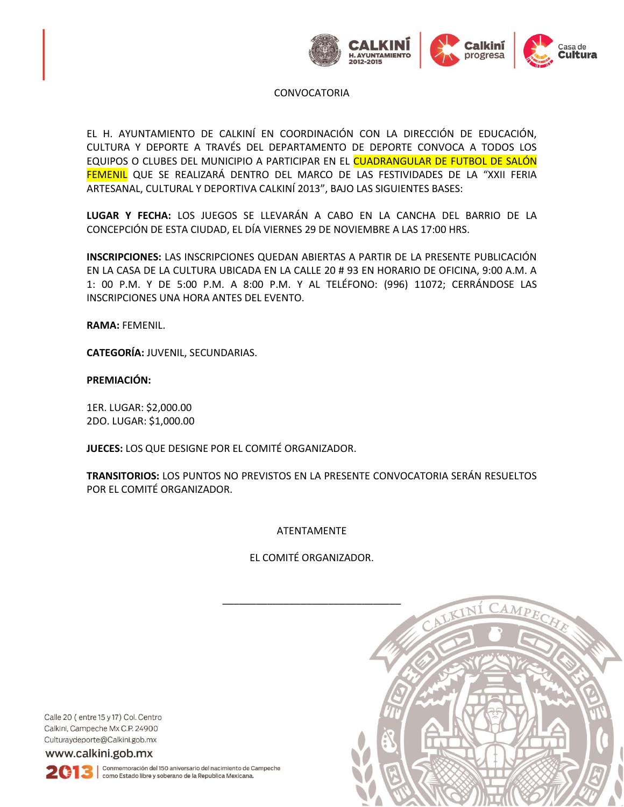

EL H. AYUNTAMIENTO DE CALKINÍ EN COORDINACIÓN CON LA DIRECCIÓN DE EDUCACIÓN, CULTURA Y DEPORTE A TRAVÉS DEL DEPARTAMENTO DE DEPORTE CONVOCA A TODOS LOS EQUIPOS O CLUBES DEL MUNICIPIO A PARTICIPAR EN EL CUADRANGULAR DE FUTBOL DE SALÓN FEMENIL QUE SE REALIZARÁ DENTRO DEL MARCO DE LAS FESTIVIDADES DE LA "XXII FERIA ARTESANAL, CULTURAL Y DEPORTIVA CALKINÍ 2013", BAJO LAS SIGUIENTES BASES:

**LUGAR Y FECHA:** LOS JUEGOS SE LLEVARÁN A CABO EN LA CANCHA DEL BARRIO DE LA CONCEPCIÓN DE ESTA CIUDAD, EL DÍA VIERNES 29 DE NOVIEMBRE A LAS 17:00 HRS.

**INSCRIPCIONES:** LAS INSCRIPCIONES QUEDAN ABIERTAS A PARTIR DE LA PRESENTE PUBLICACIÓN EN LA CASA DE LA CULTURA UBICADA EN LA CALLE 20 # 93 EN HORARIO DE OFICINA, 9:00 A.M. A 1: 00 P.M. Y DE 5:00 P.M. A 8:00 P.M. Y AL TELÉFONO: (996) 11072; CERRÁNDOSE LAS INSCRIPCIONES UNA HORA ANTES DEL EVENTO.

**RAMA:** FEMENIL.

**CATEGORÍA:** JUVENIL, SECUNDARIAS.

**PREMIACIÓN:**

1ER. LUGAR: \$2,000.00 2DO. LUGAR: \$1,000.00

**JUECES:** LOS QUE DESIGNE POR EL COMITÉ ORGANIZADOR.

**TRANSITORIOS:** LOS PUNTOS NO PREVISTOS EN LA PRESENTE CONVOCATORIA SERÁN RESUELTOS POR EL COMITÉ ORGANIZADOR.

ATENTAMENTE

EL COMITÉ ORGANIZADOR.



Calle 20 (entre 15 y 17) Col. Centro Calkini, Campeche Mx C.P. 24900 Culturaydeporte@Calkini.gob.mx

www.calkini.gob.mx

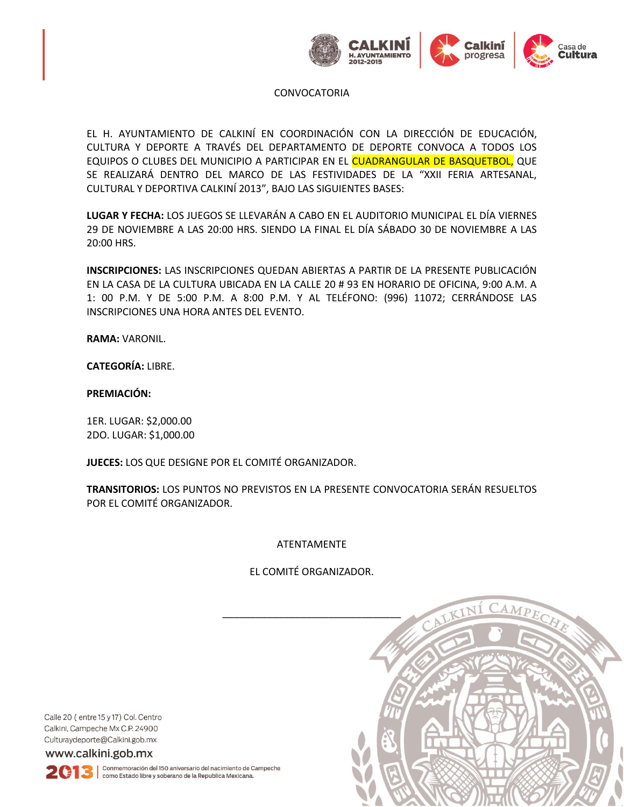

EL H. AYUNTAMIENTO DE CALKINÍ EN COORDINACIÓN CON LA DIRECCIÓN DE EDUCACIÓN, CULTURA Y DEPORTE A TRAVÉS DEL DEPARTAMENTO DE DEPORTE CONVOCA A TODOS LOS EQUIPOS O CLUBES DEL MUNICIPIO A PARTICIPAR EN EL CUADRANGULAR DE BASQUETBOL, QUE SE REALIZARÁ DENTRO DEL MARCO DE LAS FESTIVIDADES DE LA "XXII FERIA ARTESANAL, CULTURAL Y DEPORTIVA CALKINÍ 2013", BAJO LAS SIGUIENTES BASES:

**LUGAR Y FECHA:** LOS JUEGOS SE LLEVARÁN A CABO EN EL AUDITORIO MUNICIPAL EL DÍA VIERNES 29 DE NOVIEMBRE A LAS 20:00 HRS. SIENDO LA FINAL EL DÍA SÁBADO 30 DE NOVIEMBRE A LAS 20:00 HRS.

**INSCRIPCIONES:** LAS INSCRIPCIONES QUEDAN ABIERTAS A PARTIR DE LA PRESENTE PUBLICACIÓN EN LA CASA DE LA CULTURA UBICADA EN LA CALLE 20 # 93 EN HORARIO DE OFICINA, 9:00 A.M. A 1: 00 P.M. Y DE 5:00 P.M. A 8:00 P.M. Y AL TELÉFONO: (996) 11072; CERRÁNDOSE LAS INSCRIPCIONES UNA HORA ANTES DEL EVENTO.

**RAMA:** VARONIL.

**CATEGORÍA:** LIBRE.

# **PREMIACIÓN:**

1ER. LUGAR: \$2,000.00 2DO. LUGAR: \$1,000.00

**JUECES:** LOS QUE DESIGNE POR EL COMITÉ ORGANIZADOR.

**TRANSITORIOS:** LOS PUNTOS NO PREVISTOS EN LA PRESENTE CONVOCATORIA SERÁN RESUELTOS POR EL COMITÉ ORGANIZADOR.

ATENTAMENTE

EL COMITÉ ORGANIZADOR.



Calle 20 (entre 15 y 17) Col. Centro Calkini, Campeche Mx C.P. 24900 Culturaydeporte@Calkini.gob.mx

www.calkini.gob.mx

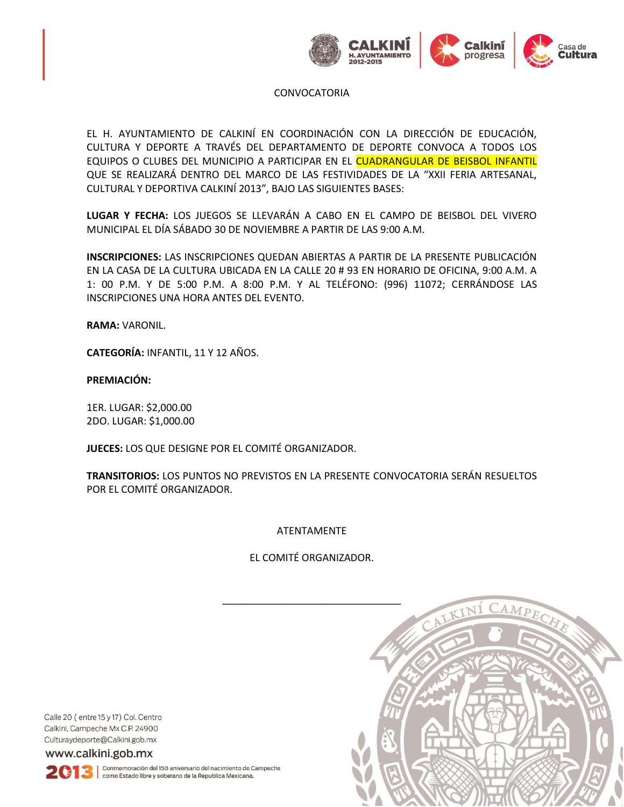

EL H. AYUNTAMIENTO DE CALKINÍ EN COORDINACIÓN CON LA DIRECCIÓN DE EDUCACIÓN, CULTURA Y DEPORTE A TRAVÉS DEL DEPARTAMENTO DE DEPORTE CONVOCA A TODOS LOS EQUIPOS O CLUBES DEL MUNICIPIO A PARTICIPAR EN EL CUADRANGULAR DE BEISBOL INFANTIL QUE SE REALIZARÁ DENTRO DEL MARCO DE LAS FESTIVIDADES DE LA "XXII FERIA ARTESANAL, CULTURAL Y DEPORTIVA CALKINÍ 2013", BAJO LAS SIGUIENTES BASES:

**LUGAR Y FECHA:** LOS JUEGOS SE LLEVARÁN A CABO EN EL CAMPO DE BEISBOL DEL VIVERO MUNICIPAL EL DÍA SÁBADO 30 DE NOVIEMBRE A PARTIR DE LAS 9:00 A.M.

**INSCRIPCIONES:** LAS INSCRIPCIONES QUEDAN ABIERTAS A PARTIR DE LA PRESENTE PUBLICACIÓN EN LA CASA DE LA CULTURA UBICADA EN LA CALLE 20 # 93 EN HORARIO DE OFICINA, 9:00 A.M. A 1: 00 P.M. Y DE 5:00 P.M. A 8:00 P.M. Y AL TELÉFONO: (996) 11072; CERRÁNDOSE LAS INSCRIPCIONES UNA HORA ANTES DEL EVENTO.

**RAMA:** VARONIL.

**CATEGORÍA:** INFANTIL, 11 Y 12 AÑOS.

**PREMIACIÓN:**

1ER. LUGAR: \$2,000.00 2DO. LUGAR: \$1,000.00

**JUECES:** LOS QUE DESIGNE POR EL COMITÉ ORGANIZADOR.

**TRANSITORIOS:** LOS PUNTOS NO PREVISTOS EN LA PRESENTE CONVOCATORIA SERÁN RESUELTOS POR EL COMITÉ ORGANIZADOR.

ATENTAMENTE

EL COMITÉ ORGANIZADOR.



Calle 20 (entre 15 y 17) Col. Centro Calkini, Campeche Mx C.P. 24900 Culturaydeporte@Calkini.gob.mx

www.calkini.gob.mx